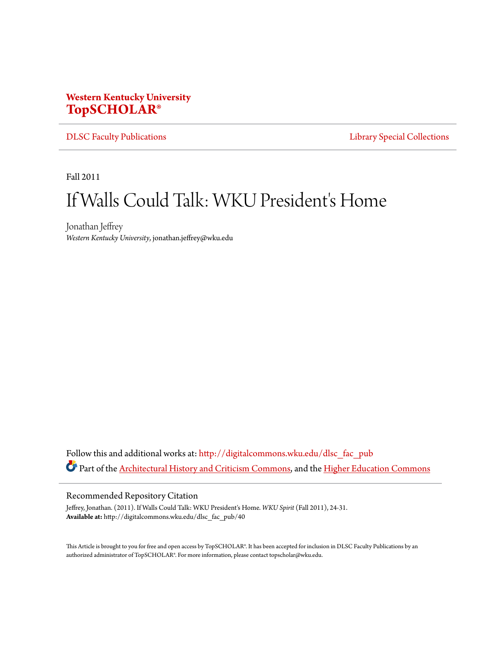# **Western Kentucky University [TopSCHOLAR®](http://digitalcommons.wku.edu?utm_source=digitalcommons.wku.edu%2Fdlsc_fac_pub%2F40&utm_medium=PDF&utm_campaign=PDFCoverPages)**

[DLSC Faculty Publications](http://digitalcommons.wku.edu/dlsc_fac_pub?utm_source=digitalcommons.wku.edu%2Fdlsc_fac_pub%2F40&utm_medium=PDF&utm_campaign=PDFCoverPages) **[Library Special Collections](http://digitalcommons.wku.edu/dlsc?utm_source=digitalcommons.wku.edu%2Fdlsc_fac_pub%2F40&utm_medium=PDF&utm_campaign=PDFCoverPages)** 

Fall 2011

# If Walls Could Talk: WKU President's Home

Jonathan Jeffrey *Western Kentucky University*, jonathan.jeffrey@wku.edu

Follow this and additional works at: [http://digitalcommons.wku.edu/dlsc\\_fac\\_pub](http://digitalcommons.wku.edu/dlsc_fac_pub?utm_source=digitalcommons.wku.edu%2Fdlsc_fac_pub%2F40&utm_medium=PDF&utm_campaign=PDFCoverPages) Part of the [Architectural History and Criticism Commons](http://network.bepress.com/hgg/discipline/780?utm_source=digitalcommons.wku.edu%2Fdlsc_fac_pub%2F40&utm_medium=PDF&utm_campaign=PDFCoverPages), and the [Higher Education Commons](http://network.bepress.com/hgg/discipline/1245?utm_source=digitalcommons.wku.edu%2Fdlsc_fac_pub%2F40&utm_medium=PDF&utm_campaign=PDFCoverPages)

#### Recommended Repository Citation

Jeffrey, Jonathan. (2011). If Walls Could Talk: WKU President's Home. *WKU Spirit* (Fall 2011), 24-31. **Available at:** http://digitalcommons.wku.edu/dlsc\_fac\_pub/40

This Article is brought to you for free and open access by TopSCHOLAR®. It has been accepted for inclusion in DLSC Faculty Publications by an authorized administrator of TopSCHOLAR®. For more information, please contact topscholar@wku.edu.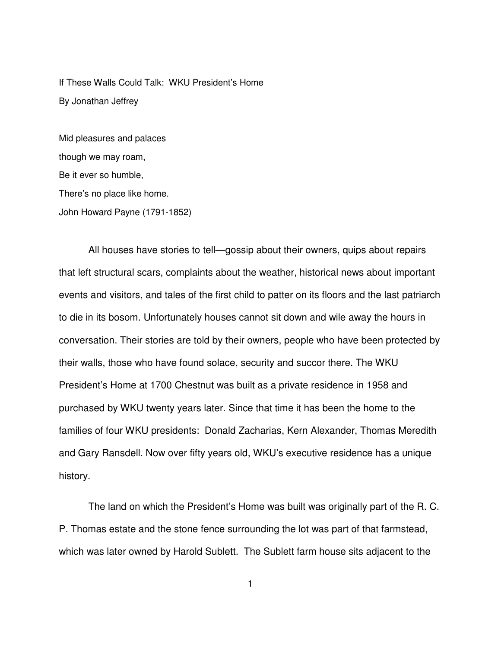If These Walls Could Talk: WKU President's Home By Jonathan Jeffrey

Mid pleasures and palaces though we may roam, Be it ever so humble, There's no place like home. John Howard Payne (1791-1852)

All houses have stories to tell—gossip about their owners, quips about repairs that left structural scars, complaints about the weather, historical news about important events and visitors, and tales of the first child to patter on its floors and the last patriarch to die in its bosom. Unfortunately houses cannot sit down and wile away the hours in conversation. Their stories are told by their owners, people who have been protected by their walls, those who have found solace, security and succor there. The WKU President's Home at 1700 Chestnut was built as a private residence in 1958 and purchased by WKU twenty years later. Since that time it has been the home to the families of four WKU presidents: Donald Zacharias, Kern Alexander, Thomas Meredith and Gary Ransdell. Now over fifty years old, WKU's executive residence has a unique history.

The land on which the President's Home was built was originally part of the R. C. P. Thomas estate and the stone fence surrounding the lot was part of that farmstead, which was later owned by Harold Sublett. The Sublett farm house sits adjacent to the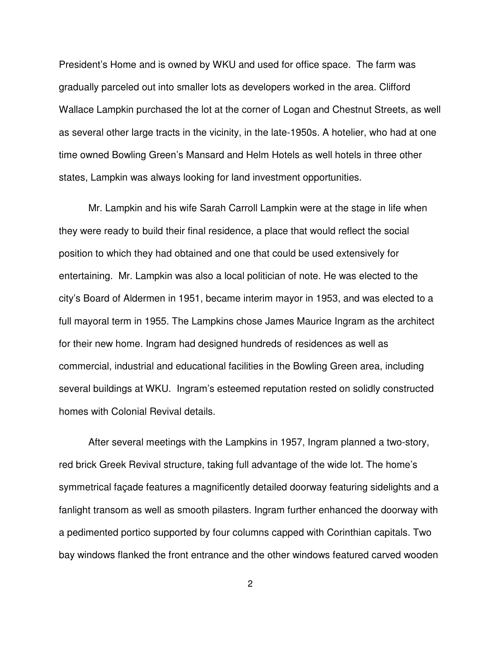President's Home and is owned by WKU and used for office space. The farm was gradually parceled out into smaller lots as developers worked in the area. Clifford Wallace Lampkin purchased the lot at the corner of Logan and Chestnut Streets, as well as several other large tracts in the vicinity, in the late-1950s. A hotelier, who had at one time owned Bowling Green's Mansard and Helm Hotels as well hotels in three other states, Lampkin was always looking for land investment opportunities.

Mr. Lampkin and his wife Sarah Carroll Lampkin were at the stage in life when they were ready to build their final residence, a place that would reflect the social position to which they had obtained and one that could be used extensively for entertaining. Mr. Lampkin was also a local politician of note. He was elected to the city's Board of Aldermen in 1951, became interim mayor in 1953, and was elected to a full mayoral term in 1955. The Lampkins chose James Maurice Ingram as the architect for their new home. Ingram had designed hundreds of residences as well as commercial, industrial and educational facilities in the Bowling Green area, including several buildings at WKU. Ingram's esteemed reputation rested on solidly constructed homes with Colonial Revival details.

After several meetings with the Lampkins in 1957, Ingram planned a two-story, red brick Greek Revival structure, taking full advantage of the wide lot. The home's symmetrical façade features a magnificently detailed doorway featuring sidelights and a fanlight transom as well as smooth pilasters. Ingram further enhanced the doorway with a pedimented portico supported by four columns capped with Corinthian capitals. Two bay windows flanked the front entrance and the other windows featured carved wooden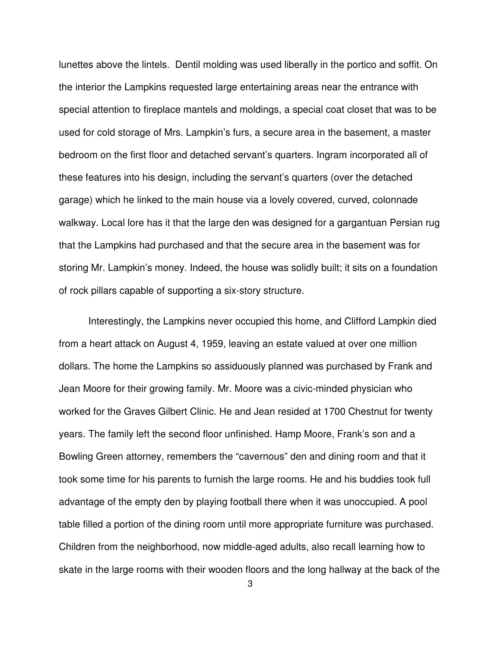lunettes above the lintels. Dentil molding was used liberally in the portico and soffit. On the interior the Lampkins requested large entertaining areas near the entrance with special attention to fireplace mantels and moldings, a special coat closet that was to be used for cold storage of Mrs. Lampkin's furs, a secure area in the basement, a master bedroom on the first floor and detached servant's quarters. Ingram incorporated all of these features into his design, including the servant's quarters (over the detached garage) which he linked to the main house via a lovely covered, curved, colonnade walkway. Local lore has it that the large den was designed for a gargantuan Persian rug that the Lampkins had purchased and that the secure area in the basement was for storing Mr. Lampkin's money. Indeed, the house was solidly built; it sits on a foundation of rock pillars capable of supporting a six-story structure.

Interestingly, the Lampkins never occupied this home, and Clifford Lampkin died from a heart attack on August 4, 1959, leaving an estate valued at over one million dollars. The home the Lampkins so assiduously planned was purchased by Frank and Jean Moore for their growing family. Mr. Moore was a civic-minded physician who worked for the Graves Gilbert Clinic. He and Jean resided at 1700 Chestnut for twenty years. The family left the second floor unfinished. Hamp Moore, Frank's son and a Bowling Green attorney, remembers the "cavernous" den and dining room and that it took some time for his parents to furnish the large rooms. He and his buddies took full advantage of the empty den by playing football there when it was unoccupied. A pool table filled a portion of the dining room until more appropriate furniture was purchased. Children from the neighborhood, now middle-aged adults, also recall learning how to skate in the large rooms with their wooden floors and the long hallway at the back of the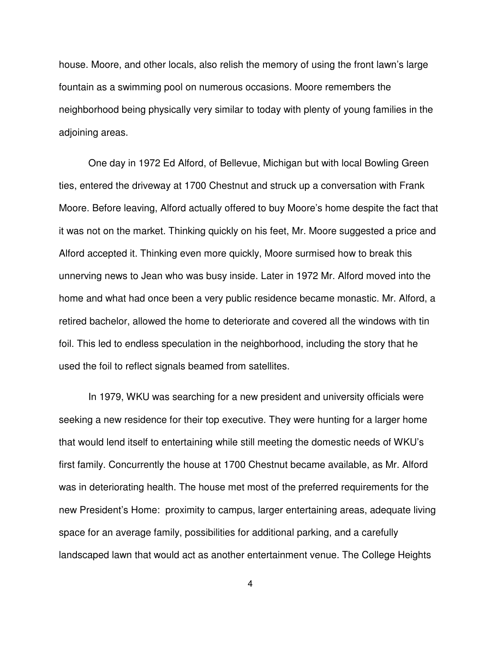house. Moore, and other locals, also relish the memory of using the front lawn's large fountain as a swimming pool on numerous occasions. Moore remembers the neighborhood being physically very similar to today with plenty of young families in the adjoining areas.

One day in 1972 Ed Alford, of Bellevue, Michigan but with local Bowling Green ties, entered the driveway at 1700 Chestnut and struck up a conversation with Frank Moore. Before leaving, Alford actually offered to buy Moore's home despite the fact that it was not on the market. Thinking quickly on his feet, Mr. Moore suggested a price and Alford accepted it. Thinking even more quickly, Moore surmised how to break this unnerving news to Jean who was busy inside. Later in 1972 Mr. Alford moved into the home and what had once been a very public residence became monastic. Mr. Alford, a retired bachelor, allowed the home to deteriorate and covered all the windows with tin foil. This led to endless speculation in the neighborhood, including the story that he used the foil to reflect signals beamed from satellites.

In 1979, WKU was searching for a new president and university officials were seeking a new residence for their top executive. They were hunting for a larger home that would lend itself to entertaining while still meeting the domestic needs of WKU's first family. Concurrently the house at 1700 Chestnut became available, as Mr. Alford was in deteriorating health. The house met most of the preferred requirements for the new President's Home: proximity to campus, larger entertaining areas, adequate living space for an average family, possibilities for additional parking, and a carefully landscaped lawn that would act as another entertainment venue. The College Heights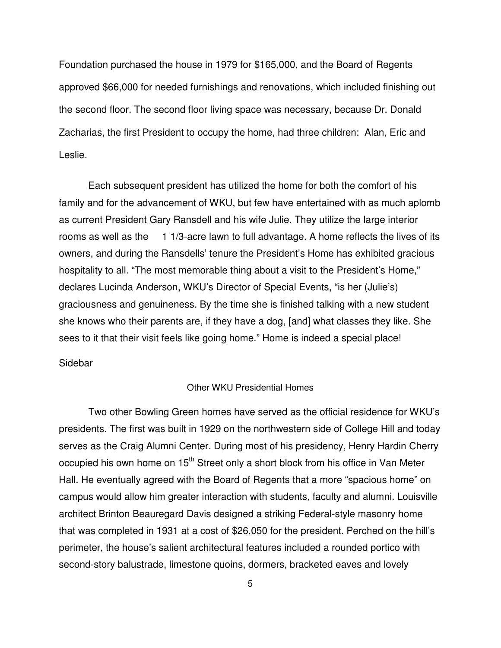Foundation purchased the house in 1979 for \$165,000, and the Board of Regents approved \$66,000 for needed furnishings and renovations, which included finishing out the second floor. The second floor living space was necessary, because Dr. Donald Zacharias, the first President to occupy the home, had three children: Alan, Eric and Leslie.

Each subsequent president has utilized the home for both the comfort of his family and for the advancement of WKU, but few have entertained with as much aplomb as current President Gary Ransdell and his wife Julie. They utilize the large interior rooms as well as the 1 1/3-acre lawn to full advantage. A home reflects the lives of its owners, and during the Ransdells' tenure the President's Home has exhibited gracious hospitality to all. "The most memorable thing about a visit to the President's Home," declares Lucinda Anderson, WKU's Director of Special Events, "is her (Julie's) graciousness and genuineness. By the time she is finished talking with a new student she knows who their parents are, if they have a dog, [and] what classes they like. She sees to it that their visit feels like going home." Home is indeed a special place!

### Sidebar

## Other WKU Presidential Homes

Two other Bowling Green homes have served as the official residence for WKU's presidents. The first was built in 1929 on the northwestern side of College Hill and today serves as the Craig Alumni Center. During most of his presidency, Henry Hardin Cherry occupied his own home on  $15<sup>th</sup>$  Street only a short block from his office in Van Meter Hall. He eventually agreed with the Board of Regents that a more "spacious home" on campus would allow him greater interaction with students, faculty and alumni. Louisville architect Brinton Beauregard Davis designed a striking Federal-style masonry home that was completed in 1931 at a cost of \$26,050 for the president. Perched on the hill's perimeter, the house's salient architectural features included a rounded portico with second-story balustrade, limestone quoins, dormers, bracketed eaves and lovely